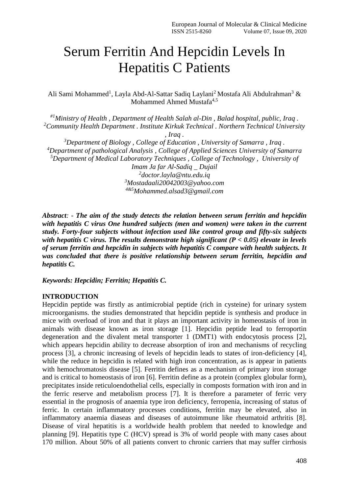# Serum Ferritin And Hepcidin Levels In Hepatitis C Patients

Ali Sami Mohammed<sup>1</sup>, Layla Abd-Al-Sattar Sadiq Laylani<sup>2</sup> Mostafa Ali Abdulrahman<sup>3</sup> & Mohammed Ahmed Mustafa<sup>4,5</sup>

*#1Ministry of Health , Department of Health Salah al-Din , Balad hospital, public, Iraq . <sup>2</sup>Community Health Department . Institute Kirkuk Technical . Northern Technical University , Iraq . <sup>3</sup>Department of Biology , College of Education , University of Samarra , Iraq . <sup>4</sup>Department of pathological Analysis , College of Applied Sciences University of Samarra <sup>5</sup>Department of Medical Laboratory Techniques , College of Technology , University of Imam Ja far Al-Sadiq \_ Dujail 2 doctor.layla@ntu.edu.iq <sup>3</sup>[Mostadaali20042003@yahoo.com](mailto:3Mostadaali20042003@yahoo.com) 4&5Mohammed.alsad3@gmail.com* 

*Abstract: - The aim of the study detects the relation between serum ferritin and hepcidin with hepatitis C virus One hundred subjects (men and women) were taken in the current study. Forty-four subjects without infection used like control group and fifty-six subjects with hepatitis C virus. The results demonstrate high significant (P < 0.05) elevate in levels of serum ferritin and hepcidin in subjects with hepatitis C compare with health subjects. It was concluded that there is positive relationship between serum ferritin, hepcidin and hepatitis C.*

*Keywords: Hepcidin; Ferritin; Hepatitis C.*

#### **INTRODUCTION**

Hepcidin peptide was firstly as antimicrobial peptide (rich in cysteine) for urinary system microorganisms. the studies demonstrated that hepcidin peptide is synthesis and produce in mice with overload of iron and that it plays an important activity in homeostasis of iron in animals with disease known as iron storage [1]. Hepcidin peptide lead to ferroportin degeneration and the divalent metal transporter 1 (DMT1) with endocytosis process [2], which appears hepcidin ability to decrease absorption of iron and mechanisms of recycling process [3], a chronic increasing of levels of hepcidin leads to states of iron-deficiency [4], while the reduce in hepcidin is related with high iron concentration, as is appear in patients with hemochromatosis disease [5]. Ferritin defines as a mechanism of primary iron storage and is critical to homeostasis of iron [6]. Ferritin define as a protein (complex globular form), precipitates inside reticuloendothelial cells, especially in composts formation with iron and in the ferric reserve and metabolism process [7]. It is therefore a parameter of ferric very essential in the prognosis of anaemia type iron deficiency, ferropenia, increasing of status of ferric. In certain inflammatory processes conditions, ferritin may be elevated, also in inflammatory anaemia diaseas and diseases of autoimmune like rheumatoid arthritis [8]. Disease of viral hepatitis is a worldwide health problem that needed to knowledge and planning [9]. Hepatitis type C (HCV) spread is 3% of world people with many cases about 170 million. About 50% of all patients convert to chronic carriers that may suffer cirrhosis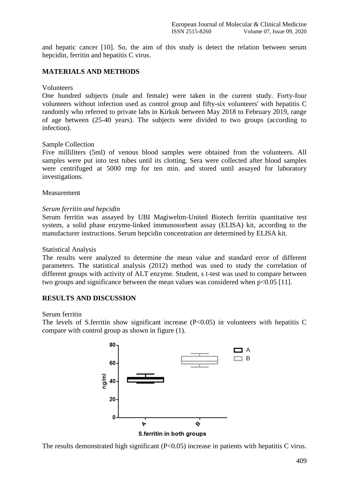and hepatic cancer [10]. So, the aim of this study is detect the relation between serum hepcidin, ferritin and hepatitis C virus.

# **MATERIALS AND METHODS**

#### Volunteers

One hundred subjects (male and female) were taken in the current study. Forty-four volunteers without infection used as control group and fifty-six volunteers' with hepatitis C randomly who referred to private labs in Kirkuk between May 2018 to February 2019, range of age between (25-40 years). The subjects were divided to two groups (according to infection).

## Sample Collection

Five milliliters (5ml) of venous blood samples were obtained from the volunteers. All samples were put into test tubes until its clotting. Sera were collected after blood samples were centrifuged at 5000 rmp for ten min. and stored until assayed for laboratory investigations.

## Measurement

## *Serum ferritin and hepcidin*

Serum ferritin was assayed by UBI Magiweltm-United Biotech ferritin quantitative test system, a solid phase enzyme-linked immunosorbent assay (ELISA) kit, according to the manufacturer instructions. Serum hepcidin concentration are determined by ELISA kit.

#### Statistical Analysis

The results were analyzed to determine the mean value and standard error of different parameters. The statistical analysis (2012) method was used to study the correlation of different groups with activity of ALT enzyme. Student, s t-test was used to compare between two groups and significance between the mean values was considered when p<0.05 [11].

# **RESULTS AND DISCUSSION**

## Serum ferritin

The levels of S.ferritin show significant increase  $(P<0.05)$  in volunteers with hepatitis C compare with control group as shown in figure (1).



The results demonstrated high significant  $(P<0.05)$  increase in patients with hepatitis C virus.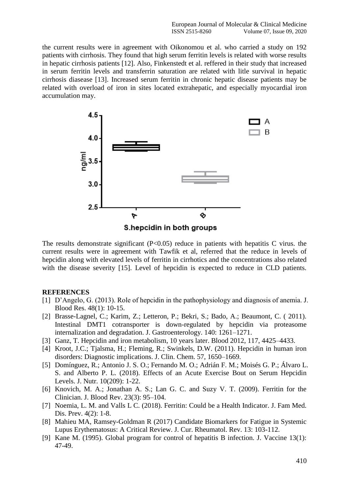the current results were in agreement with Oikonomou et al. who carried a study on 192 patients with cirrhosis. They found that high serum ferritin levels is related with worse results in hepatic cirrhosis patients [12]. Also, Finkenstedt et al. reffered in their study that increased in serum ferritin levels and transferrin saturation are related with litle survival in hepatic cirrhosis diasease [13]. Increased serum ferritin in chronic hepatic disease patients may be related with overload of iron in sites located extrahepatic, and especially myocardial iron accumulation may.



The results demonstrate significant  $(P<0.05)$  reduce in patients with hepatitis C virus. the current results were in agreement with Tawfik et al, referred that the reduce in levels of hepcidin along with elevated levels of ferritin in cirrhotics and the concentrations also related with the disease severity [15]. Level of hepcidin is expected to reduce in CLD patients.

# **REFERENCES**

- [1] D'Angelo, G. (2013). Role of hepcidin in the pathophysiology and diagnosis of anemia. J. Blood Res. 48(1): 10-15.
- [2] Brasse-Lagnel, C.; Karim, Z.; Letteron, P.; Bekri, S.; Bado, A.; Beaumont, C. ( 2011). Intestinal DMT1 cotransporter is down-regulated by hepcidin via proteasome internalization and degradation. J. Gastroenterology. 140: 1261–1271.
- [3] Ganz, T. Hepcidin and iron metabolism, 10 years later. Blood 2012, 117, 4425–4433.
- [4] Kroot, J.C.; Tjalsma, H.; Fleming, R.; Swinkels, D.W. (2011). Hepcidin in human iron disorders: Diagnostic implications. J. Clin. Chem. 57, 1650–1669.
- [5] Domínguez, R.; Antonio J. S. O.; Fernando M. O.; Adrián F. M.; Moisés G. P.; Álvaro L. S. and Alberto P. L. (2018). Effects of an Acute Exercise Bout on Serum Hepcidin Levels. J. Nutr. 10(209): 1-22.
- [6] Knovich, M. A.; Jonathan A. S.; Lan G. C. and Suzy V. T. (2009). Ferritin for the Clinician. J. Blood Rev. 23(3): 95–104.
- [7] Noemia, L. M. and Valls L C. (2018). Ferritin: Could be a Health Indicator. J. Fam Med. Dis. Prev. 4(2): 1-8.
- [8] Mahieu MA, Ramsey-Goldman R (2017) Candidate Biomarkers for Fatigue in Systemic Lupus Erythematosus: A Critical Review. J. Cur. Rheumatol. Rev. 13: 103-112.
- [9] Kane M. (1995). Global program for control of hepatitis B infection. J. Vaccine 13(1): 47-49.